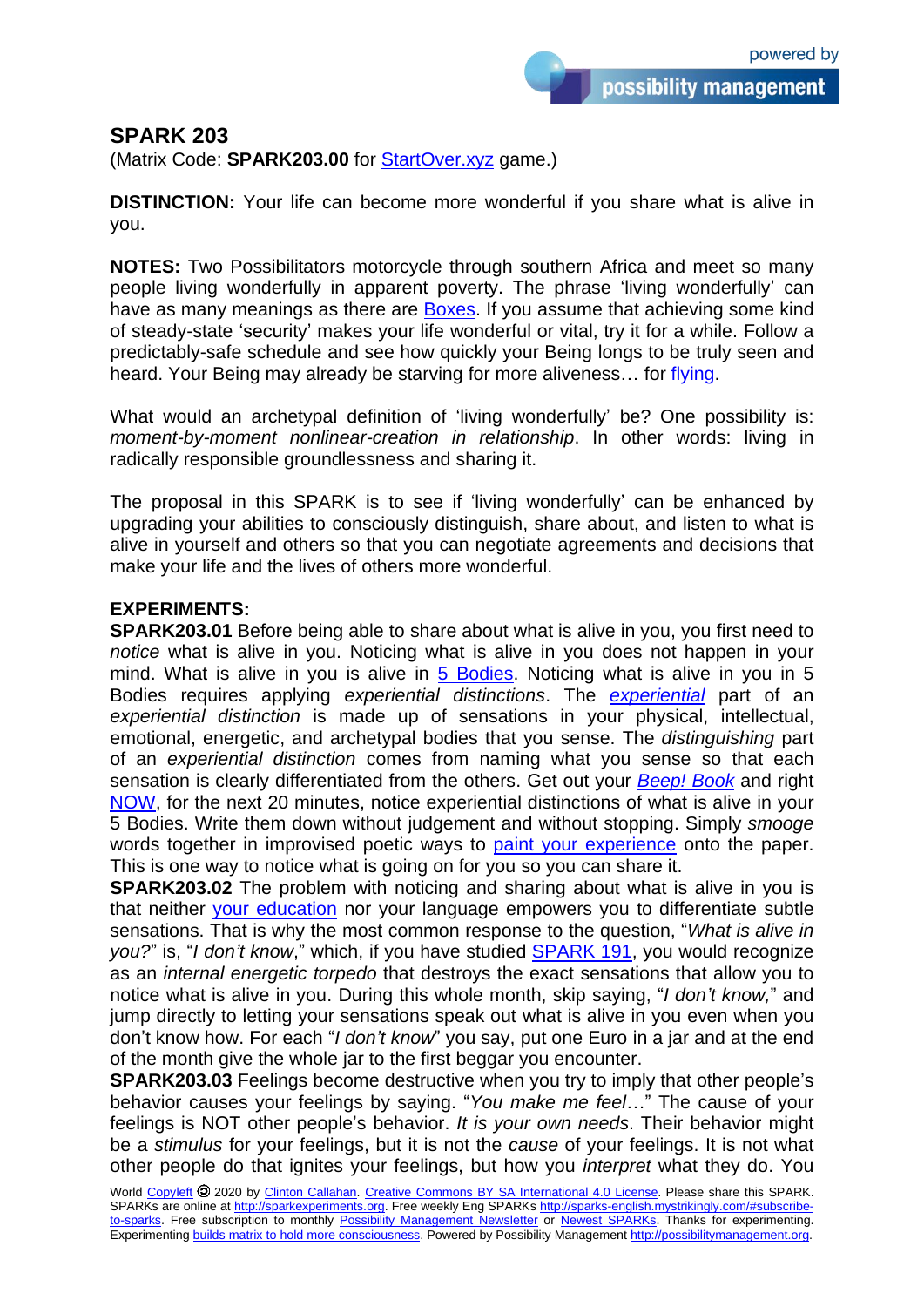## **SPARK 203**

(Matrix Code: **SPARK203.00** for [StartOver.xyz](http://startoverxyz.mystrikingly.com/) game.)

**DISTINCTION:** Your life can become more wonderful if you share what is alive in you.

**NOTES:** Two Possibilitators motorcycle through southern Africa and meet so many people living wonderfully in apparent poverty. The phrase 'living wonderfully' can have as many meanings as there are [Boxes.](http://boxtechnology.mystrikingly.com/) If you assume that achieving some kind of steady-state 'security' makes your life wonderful or vital, try it for a while. Follow a predictably-safe schedule and see how quickly your Being longs to be truly seen and heard. Your Being may already be starving for more aliveness... for [flying.](http://flyingschool.mystrikingly.com/)

What would an archetypal definition of 'living wonderfully' be? One possibility is: *moment-by-moment nonlinear-creation in relationship*. In other words: living in radically responsible groundlessness and sharing it.

The proposal in this SPARK is to see if 'living wonderfully' can be enhanced by upgrading your abilities to consciously distinguish, share about, and listen to what is alive in yourself and others so that you can negotiate agreements and decisions that make your life and the lives of others more wonderful.

## **EXPERIMENTS:**

**SPARK203.01** Before being able to share about what is alive in you, you first need to *notice* what is alive in you. Noticing what is alive in you does not happen in your mind. What is alive in you is alive in [5 Bodies.](http://5bodies.mystrikingly.com/) Noticing what is alive in you in 5 Bodies requires applying *experiential distinctions*. The *[experiential](http://experientialreality.mystrikingly.com/)* part of an *experiential distinction* is made up of sensations in your physical, intellectual, emotional, energetic, and archetypal bodies that you sense. The *distinguishing* part of an *experiential distinction* comes from naming what you sense so that each sensation is clearly differentiated from the others. Get out your *[Beep! Book](http://beepbook.mystrikingly.com/)* and right [NOW,](http://minimizenow.mystrikingly.com/) for the next 20 minutes, notice experiential distinctions of what is alive in your 5 Bodies. Write them down without judgement and without stopping. Simply *smooge* words together in improvised poetic ways to [paint your experience](http://possibilitypaintbrush.mystrikingly.com/) onto the paper. This is one way to notice what is going on for you so you can share it.

**SPARK203.02** The problem with noticing and sharing about what is alive in you is that neither [your education](http://quitschool.mystrikingly.com/) nor your language empowers you to differentiate subtle sensations. That is why the most common response to the question, "*What is alive in you?*" is, "*I don't know*," which, if you have studied [SPARK 191,](http://sparks.nextculture.org/res/sparks/Spark-191-en.pdf) you would recognize as an *internal energetic torpedo* that destroys the exact sensations that allow you to notice what is alive in you. During this whole month, skip saying, "*I don't know,*" and jump directly to letting your sensations speak out what is alive in you even when you don't know how. For each "*I don't know*" you say, put one Euro in a jar and at the end of the month give the whole jar to the first beggar you encounter.

**SPARK203.03** Feelings become destructive when you try to imply that other people's behavior causes your feelings by saying. "*You make me feel*…" The cause of your feelings is NOT other people's behavior. *It is your own needs*. Their behavior might be a *stimulus* for your feelings, but it is not the *cause* of your feelings. It is not what other people do that ignites your feelings, but how you *interpret* what they do. You